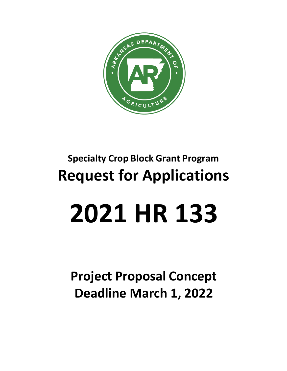

# **Specialty Crop Block Grant Program Request for Applications**

# **2021 HR 133**

**Project Proposal Concept Deadline March 1, 2022**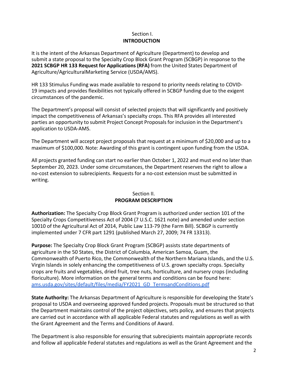#### Section I. **INTRODUCTION**

It is the intent of the Arkansas Department of Agriculture (Department) to develop and submit a state proposal to the Specialty Crop Block Grant Program (SCBGP) in response to the **2021 SCBGP HR 133 Request for Applications (RFA)** from the United States Department of Agriculture/AgriculturalMarketing Service (USDA/AMS).

HR 133 Stimulus Funding was made available to respond to priority needs relating to COVID-19 impacts and provides flexibilities not typically offered in SCBGP funding due to the exigent circumstances of the pandemic.

The Department's proposal will consist of selected projects that will significantly and positively impact the competitiveness of Arkansas's specialty crops. This RFA provides all interested parties an opportunity to submit Project Concept Proposals for inclusion in the Department's application to USDA-AMS.

The Department will accept project proposals that request at a minimum of \$20,000 and up to a maximum of \$100,000. Note: Awarding of this grant is contingent upon funding from the USDA.

All projects granted funding can start no earlier than October 1, 2022 and must end no later than September 20, 2023. Under some circumstances, the Department reserves the right to allow a no-cost extension to subrecipients. Requests for a no-cost extension must be submitted in writing.

### Section II. **PROGRAM DESCRIPTION**

**Authorization:** The Specialty Crop Block Grant Program is authorized under section 101 of the Specialty Crops Competitiveness Act of 2004 (7 U.S.C. 1621 note) and amended under section 10010 of the Agricultural Act of 2014, Public Law 113-79 (the Farm Bill). SCBGP is currently implemented under 7 CFR part 1291 (published March 27, 2009; 74 FR 13313).

**Purpose:** The Specialty Crop Block Grant Program (SCBGP) assists state departments of agriculture in the 50 States, the District of Columbia, American Samoa, Guam, the Commonwealth of Puerto Rico, the Commonwealth of the Northern Mariana Islands, and the U.S. Virgin Islands in solely enhancing the competitiveness of U.S. grown specialty crops. Specialty crops are fruits and vegetables, dried fruit, tree nuts, horticulture, and nursery crops (including floriculture). More information on the general terms and conditions can be found here: [ams.usda.gov/sites/default/files/media/FY2021\\_GD\\_TermsandConditions.pdf](https://www.ams.usda.gov/sites/default/files/media/FY2021_GD_TermsandConditions.pdf)

**State Authority:** The Arkansas Department of Agriculture is responsible for developing the State's proposal to USDA and overseeing approved funded projects. Proposals must be structured so that the Department maintains control of the project objectives, sets policy, and ensures that projects are carried out in accordance with all applicable Federal statutes and regulations as well as with the Grant Agreement and the Terms and Conditions of Award.

The Department is also responsible for ensuring that subrecipients maintain appropriate records and follow all applicable Federal statutes and regulations as well as the Grant Agreement and the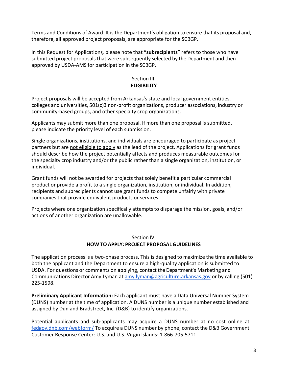Terms and Conditions of Award. It is the Department's obligation to ensure that its proposal and, therefore, all approved project proposals, are appropriate for the SCBGP.

In this Request for Applications*,* please note that **"subrecipients"** refers to those who have submitted project proposals that were subsequently selected by the Department and then approved by USDA-AMS for participation in the SCBGP.

#### Section III. **ELIGIBILITY**

Project proposals will be accepted from Arkansas's state and local government entities, colleges and universities, 501(c)3 non-profit organizations, producer associations, industry or community-based groups, and other specialty crop organizations.

Applicants may submit more than one proposal. If more than one proposal is submitted, please indicate the priority level of each submission.

Single organizations, institutions, and individuals are encouraged to participate as project partners but are not eligible to apply as the lead of the project. Applications for grant funds should describe how the project potentially affects and produces measurable outcomes for the specialty crop industry and/or the public rather than a single organization, institution, or individual.

Grant funds will not be awarded for projects that solely benefit a particular commercial product or provide a profit to a single organization, institution, or individual. In addition, recipients and subrecipients cannot use grant funds to compete unfairly with private companies that provide equivalent products or services.

Projects where one organization specifically attempts to disparage the mission, goals, and/or actions of another organization are unallowable.

### Section IV. **HOW TO APPLY: PROJECT PROPOSAL GUIDELINES**

The application process is a two-phase process. This is designed to maximize the time available to both the applicant and the Department to ensure a high-quality application is submitted to USDA. For questions or comments on applying, contact the Department's Marketing and Communications Director Amy Lyman at [amy.lyman@agriculture.arkansas.gov](mailto:amy.lyman@agriculture.arkansas.gov) or by calling (501) 225-1598.

**Preliminary Applicant Information:** Each applicant must have a Data Universal Number System (DUNS) number at the time of application. A DUNS number is a unique number established and assigned by Dun and Bradstreet, Inc. (D&B) to identify organizations.

Potential applicants and sub-applicants may acquire a DUNS number at no cost online at [fedgov.dnb.com/webform/](https://fedgov.dnb.com/webform/) To acquire a DUNS number by phone, contact the D&B Government Customer Response Center: U.S. and U.S. Virgin Islands: 1-866-705-5711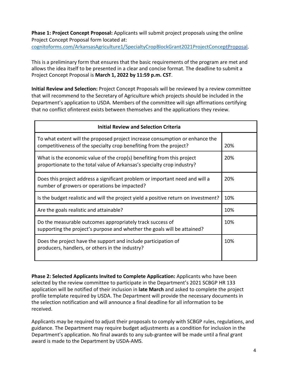**Phase 1: Project Concept Proposal:** Applicants will submit project proposals using the online Project Concept Proposal form located at: [cognitoforms.com/ArkansasAgriculture1/SpecialtyCropBlockGrant2021ProjectConce](https://www.cognitoforms.com/ArkansasAgriculture1/SpecialtyCropBlockGrant2021ProjectConce)[ptProposal.](https://www.cognitoforms.com/ArkansasAgriculture1/SpecialtyCropBlockGrant2021ProjectConceptProposal)

This is a preliminary form that ensures that the basic requirements of the program are met and allows the idea itself to be presented in a clear and concise format. The deadline to submit a Project Concept Proposal is **March 1, 2022 by 11:59 p.m. CST**.

**Initial Review and Selection:** Project Concept Proposals will be reviewed by a review committee that will recommend to the Secretary of Agriculture which projects should be included in the Department's application to USDA. Members of the committee will sign affirmations certifying that no conflict ofinterest exists between themselves and the applications they review.

| <b>Initial Review and Selection Criteria</b>                                                                                                       |     |
|----------------------------------------------------------------------------------------------------------------------------------------------------|-----|
| To what extent will the proposed project increase consumption or enhance the<br>competitiveness of the specialty crop benefiting from the project? | 20% |
| What is the economic value of the crop(s) benefiting from this project<br>proportionate to the total value of Arkansas's specialty crop industry?  | 20% |
| Does this project address a significant problem or important need and will a<br>number of growers or operations be impacted?                       | 20% |
| Is the budget realistic and will the project yield a positive return on investment?                                                                | 10% |
| Are the goals realistic and attainable?                                                                                                            | 10% |
| Do the measurable outcomes appropriately track success of<br>supporting the project's purpose and whether the goals will be attained?              | 10% |
| Does the project have the support and include participation of<br>producers, handlers, or others in the industry?                                  | 10% |

**Phase 2: Selected Applicants Invited to Complete Application:** Applicants who have been selected by the review committee to participate in the Department's 2021 SCBGP HR 133 application will be notified of their inclusion in **late March** and asked to complete the project profile template required by USDA. The Department will provide the necessary documents in the selection notification and will announce a final deadline for all information to be received.

Applicants may be required to adjust their proposals to comply with SCBGP rules, regulations, and guidance. The Department may require budget adjustments as a condition for inclusion in the Department's application. No final awards to any sub-grantee will be made until a final grant award is made to the Department by USDA-AMS.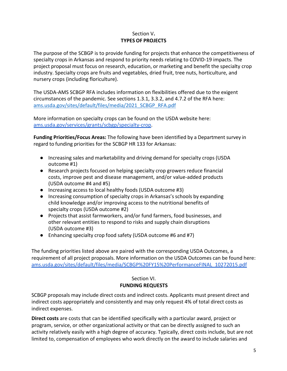### Section V**. TYPES OF PROJECTS**

The purpose of the SCBGP is to provide funding for projects that enhance the competitiveness of specialty crops in Arkansas and respond to priority needs relating to COVID-19 impacts. The project proposal must focus on research, education, or marketing and benefit the specialty crop industry. Specialty crops are fruits and vegetables, dried fruit, tree nuts, horticulture, and nursery crops (including floriculture).

The USDA-AMS SCBGP RFA includes information on flexibilities offered due to the exigent circumstances of the pandemic. See sections 1.3.1, 3.3.2, and 4.7.2 of the RFA here: [ams.usda.gov/sites/default/files/media/2021\\_SCBGP\\_RFA.pdf](https://www.ams.usda.gov/sites/default/files/media/2021_SCBGP_RFA.pdf)

More information on specialty crops can be found on the USDA website here: [ams.usda.gov/services/grants/scbgp/specialty-crop.](https://www.ams.usda.gov/services/grants/scbgp/specialty-crop)

**Funding Priorities/Focus Areas:** The following have been identified by a Department survey in regard to funding priorities for the SCBGP HR 133 for Arkansas:

- Increasing sales and marketability and driving demand for specialty crops (USDA outcome #1)
- Research projects focused on helping specialty crop growers reduce financial costs, improve pest and disease management, and/or value-added products (USDA outcome #4 and #5)
- Increasing access to local healthy foods (USDA outcome #3)
- Increasing consumption of specialty crops in Arkansas's schools by expanding child knowledge and/or improving access to the nutritional benefits of specialty crops (USDA outcome #2)
- Projects that assist farmworkers, and/or fund farmers, food businesses, and other relevant entities to respond to risks and supply chain disruptions (USDA outcome #3)
- Enhancing specialty crop food safety (USDA outcome #6 and #7)

The funding priorities listed above are paired with the corresponding USDA Outcomes, a requirement of all project proposals. More information on the USDA Outcomes can be found here: [ams.usda.gov/sites/default/files/media/SCBGP%20FY15%20PerformanceFINAL\\_10272015.pdf](https://www.ams.usda.gov/sites/default/files/media/SCBGP%20FY15%20PerformanceFINAL_10272015.pdf)

## Section VI. **FUNDING REQUESTS**

SCBGP proposals may include direct costs and indirect costs. Applicants must present direct and indirect costs appropriately and consistently and may only request 4% of total direct costs as indirect expenses.

**Direct costs** are costs that can be identified specifically with a particular award, project or program, service, or other organizational activity or that can be directly assigned to such an activity relatively easily with a high degree of accuracy. Typically, direct costs include, but are not limited to, compensation of employees who work directly on the award to include salaries and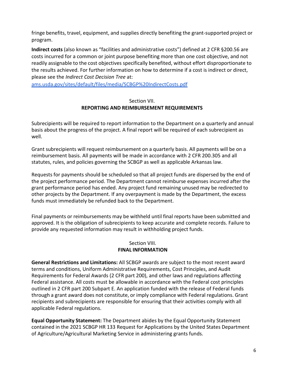fringe benefits, travel, equipment, and supplies directly benefiting the grant-supported project or program.

**Indirect costs** (also known as "facilities and administrative costs") defined at 2 CFR §200.56 are costs incurred for a common or joint purpose benefiting more than one cost objective, and not readily assignable to the cost objectives specifically benefited, without effort disproportionate to the results achieved. For further information on how to determine if a cost is indirect or direct, please see the *Indirect Cost Decision Tree* at:

[ams.usda.gov/sites/default/files/media/SCBGP%20IndirectCosts.pdf](https://www.ams.usda.gov/sites/default/files/media/SCBGP%20IndirectCosts.pdf)

### Section VII. **REPORTING AND REIMBURSEMENT REQUIREMENTS**

Subrecipients will be required to report information to the Department on a quarterly and annual basis about the progress of the project. A final report will be required of each subrecipient as well.

Grant subrecipients will request reimbursement on a quarterly basis. All payments will be on a reimbursement basis. All payments will be made in accordance with 2 CFR 200.305 and all statutes, rules, and policies governing the SCBGP as well as applicable Arkansas law.

Requests for payments should be scheduled so that all project funds are dispersed by the end of the project performance period. The Department cannot reimburse expenses incurred after the grant performance period has ended. Any project fund remaining unused may be redirected to other projects by the Department. If any overpayment is made by the Department, the excess funds must immediately be refunded back to the Department.

Final payments or reimbursements may be withheld until final reports have been submitted and approved. It is the obligation of subrecipients to keep accurate and complete records. Failure to provide any requested information may result in withholding project funds.

#### Section VIII. **FINAL INFORMATION**

**General Restrictions and Limitations:** All SCBGP awards are subject to the most recent award terms and conditions, Uniform Administrative Requirements, Cost Principles, and Audit Requirements for Federal Awards (2 CFR part 200), and other laws and regulations affecting Federal assistance. All costs must be allowable in accordance with the Federal cost principles outlined in 2 CFR part 200 Subpart E. An application funded with the release of Federal funds through a grant award does not constitute, or imply compliance with Federal regulations. Grant recipients and subrecipients are responsible for ensuring that their activities comply with all applicable Federal regulations.

**Equal Opportunity Statement:** The Department abides by the Equal Opportunity Statement contained in the 2021 SCBGP HR 133 Request for Applications by the United States Department of Agriculture/Agricultural Marketing Service in administering grants funds.